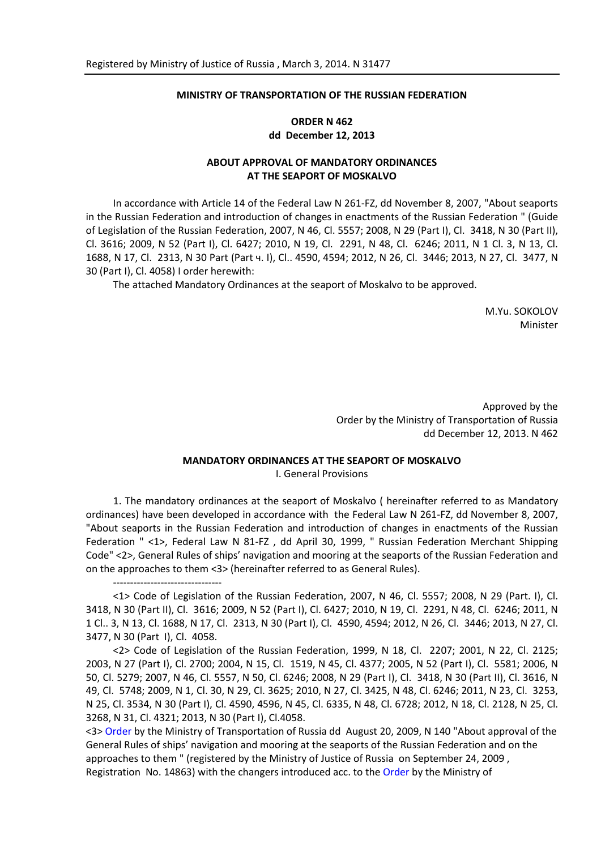### **MINISTRY OF TRANSPORTATION OF THE RUSSIAN FEDERATION**

## **ORDER N 462 dd December 12, 2013**

## **ABOUT APPROVAL OF MANDATORY ORDINANCES AT THE SEAPORT OF MOSKALVO**

In accordance with Article 14 of the Federal Law N 261-FZ, dd November 8, 2007, "About seaports in the Russian Federation and introduction of changes in enactments of the Russian Federation " (Guide of Legislation of the Russian Federation, 2007, N 46, Cl. 5557; 2008, N 29 (Part I), Cl. 3418, N 30 (Part II), Cl. 3616; 2009, N 52 (Part I), Cl. 6427; 2010, N 19, Cl. 2291, N 48, Cl. 6246; 2011, N 1 Cl. 3, N 13, Cl. 1688, N 17, Cl. 2313, N 30 Part (Part ч. I), Cl.. 4590, 4594; 2012, N 26, Cl. 3446; 2013, N 27, Cl. 3477, N 30 (Part I), Cl. 4058) I order herewith:

The attached Mandatory Ordinances at the seaport of Moskalvo to be approved.

M.Yu. SOKOLOV Minister

Approved by the Order by the Ministry of Transportation of Russia dd December 12, 2013. N 462

#### **MANDATORY ORDINANCES AT THE SEAPORT OF MOSKALVO**

I. General Provisions

1. The mandatory ordinances at the seaport of Moskalvo ( hereinafter referred to as Mandatory ordinances) have been developed in accordance with the Federal Law N 261-FZ, dd November 8, 2007, "About seaports in the Russian Federation and introduction of changes in enactments of the Russian Federation " <1>, Federal Law N 81-FZ , dd April 30, 1999, " Russian Federation Merchant Shipping Code" <2>, General Rules of ships' navigation and mooring at the seaports of the Russian Federation and on the approaches to them <3> (hereinafter referred to as General Rules).

<1> Code of Legislation of the Russian Federation, 2007, N 46, Cl. 5557; 2008, N 29 (Part. I), Cl. 3418, N 30 (Part II), Cl. 3616; 2009, N 52 (Part I), Cl. 6427; 2010, N 19, Cl. 2291, N 48, Cl. 6246; 2011, N 1 Cl.. 3, N 13, Cl. 1688, N 17, Cl. 2313, N 30 (Part I), Cl. 4590, 4594; 2012, N 26, Cl. 3446; 2013, N 27, Cl. 3477, N 30 (Part I), Cl. 4058.

--------------------------------

<2> Code of Legislation of the Russian Federation, 1999, N 18, Cl. 2207; 2001, N 22, Cl. 2125; 2003, N 27 (Part I), Cl. 2700; 2004, N 15, Cl. 1519, N 45, Cl. 4377; 2005, N 52 (Part I), Cl. 5581; 2006, N 50, Cl. 5279; 2007, N 46, Cl. 5557, N 50, Cl. 6246; 2008, N 29 (Part I), Cl. 3418, N 30 (Part II), Cl. 3616, N 49, Cl. 5748; 2009, N 1, Cl. 30, N 29, Cl. 3625; 2010, N 27, Cl. 3425, N 48, Cl. 6246; 2011, N 23, Cl. 3253, N 25, Cl. 3534, N 30 (Part I), Cl. 4590, 4596, N 45, Cl. 6335, N 48, Cl. 6728; 2012, N 18, Cl. 2128, N 25, Cl. 3268, N 31, Cl. 4321; 2013, N 30 (Part I), Cl.4058.

<3> [Order](consultantplus://offline/ref=6FCCD57E313D281E5414E7EC2FE8CBCCD22D051AEAB96D7B7AA89EDC30aAB4G) by the Ministry of Transportation of Russia dd August 20, 2009, N 140 "About approval of the General Rules of ships' navigation and mooring at the seaports of the Russian Federation and on the approaches to them " (registered by the Ministry of Justice of Russia on September 24, 2009 , Registration No. 14863) with the changers introduced acc. to the [Order](consultantplus://offline/ref=6FCCD57E313D281E5414E7EC2FE8CBCCD22D051AEAB96D7B7AA89EDC30aAB4G) by the Ministry of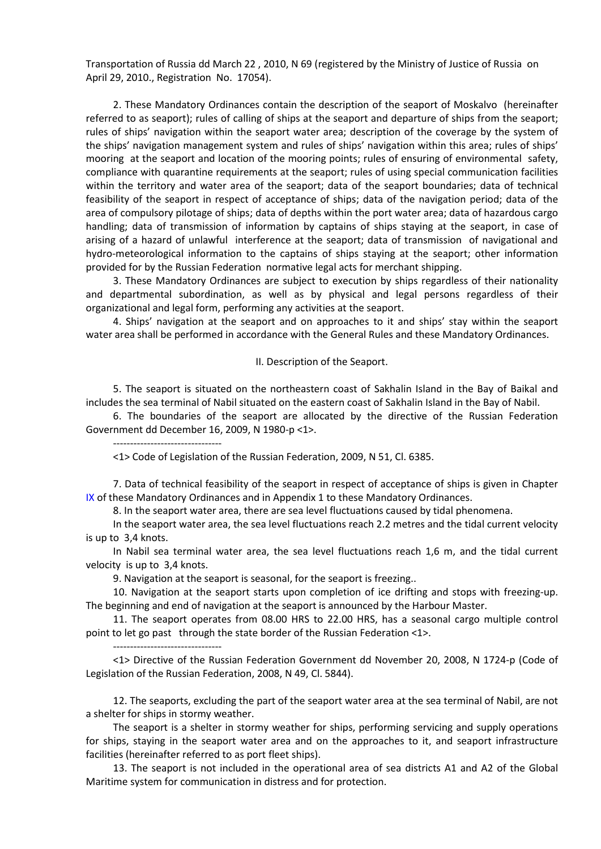Transportation of Russia dd March 22 , 2010, N 69 (registered by the Ministry of Justice of Russia on April 29, 2010., Registration No. 17054).

2. These Mandatory Ordinances contain the description of the seaport of Moskalvo (hereinafter referred to as seaport); rules of calling of ships at the seaport and departure of ships from the seaport; rules of ships' navigation within the seaport water area; description of the coverage by the system of the ships' navigation management system and rules of ships' navigation within this area; rules of ships' mooring at the seaport and location of the mooring points; rules of ensuring of environmental safety, compliance with quarantine requirements at the seaport; rules of using special communication facilities within the territory and water area of the seaport; data of the seaport boundaries; data of technical feasibility of the seaport in respect of acceptance of ships; data of the navigation period; data of the area of compulsory pilotage of ships; data of depths within the port water area; data of hazardous cargo handling; data of transmission of information by captains of ships staying at the seaport, in case of arising of a hazard of unlawful interference at the seaport; data of transmission of navigational and hydro-meteorological information to the captains of ships staying at the seaport; other information provided for by the Russian Federation normative legal acts for merchant shipping.

3. These Mandatory Ordinances are subject to execution by ships regardless of their nationality and departmental subordination, as well as by physical and legal persons regardless of their organizational and legal form, performing any activities at the seaport.

4. Ships' navigation at the seaport and on approaches to it and ships' stay within the seaport water area shall be performed in accordance with the General Rules and these Mandatory Ordinances.

#### II. Description of the Seaport.

5. The seaport is situated on the northeastern coast of Sakhalin Island in the Bay of Baikal and includes the sea terminal of Nabil situated on the eastern coast of Sakhalin Island in the Bay of Nabil.

6. The boundaries of the seaport are allocated by the directive of the Russian Federation Government dd December 16, 2009, N 1980-р <1>.

--------------------------------

<1> Code of Legislation of the Russian Federation, 2009, N 51, Cl. 6385.

<span id="page-1-0"></span>7. Data of technical feasibility of the seaport in respect of acceptance of ships is given in Chapte[r](#page-4-0)  [IX](#page-4-0) of these Mandatory Ordinances and in Appendix 1 to these Mandatory Ordinances.

8. In the seaport water area, there are sea level fluctuations caused by tidal phenomena.

In the seaport water area, the sea level fluctuations reach 2.2 metres and the tidal current velocity is up to 3,4 knots.

In Nabil sea terminal water area, the sea level fluctuations reach 1,6 m, and the tidal current velocity is up to 3,4 knots.

9. Navigation at the seaport is seasonal, for the seaport is freezing..

10. Navigation at the seaport starts upon completion of ice drifting and stops with freezing-up. The beginning and end of navigation at the seaport is announced by the Harbour Master.

11. The seaport operates from 08.00 HRS to 22.00 HRS, has a seasonal cargo multiple control point to let go past through the state border of the Russian Federation <1>.

--------------------------------

<1> Directive of the Russian Federation Government dd November 20, 2008, N 1724-р (Code of Legislation of the Russian Federation, 2008, N 49, Cl. 5844).

12. The seaports, excluding the part of the seaport water area at the sea terminal of Nabil, are not a shelter for ships in stormy weather.

The seaport is a shelter in stormy weather for ships, performing servicing and supply operations for ships, staying in the seaport water area and on the approaches to it, and seaport infrastructure facilities (hereinafter referred to as port fleet ships).

13. The seaport is not included in the operational area of sea districts А1 and А2 of the Global Maritime system for communication in distress and for protection.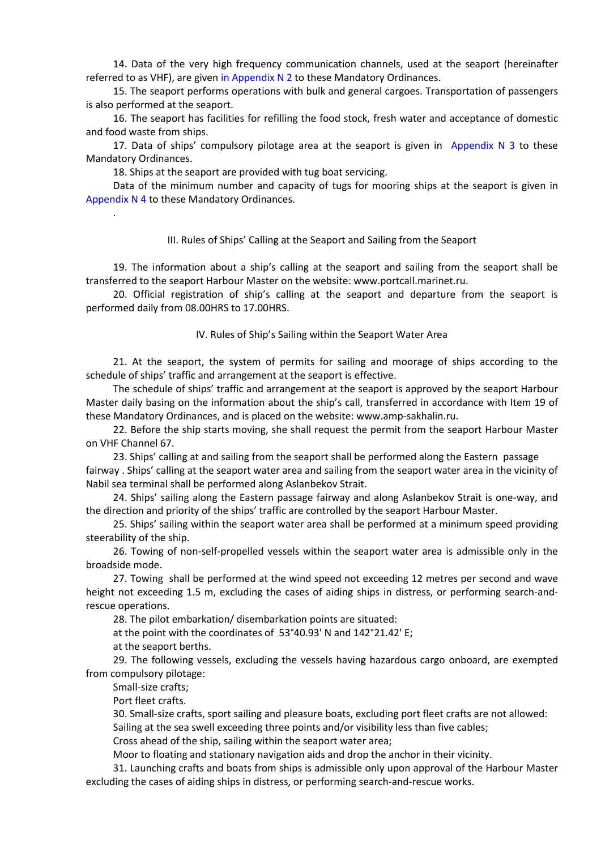<span id="page-2-0"></span>14. Data of the very high frequency communication channels, used at the seaport (hereinafter referred to as VHF), are given [in Appendix](#page-6-0) N 2 to these Mandatory Ordinances.

15. The seaport performs operations with bulk and general cargoes. Transportation of passengers is also performed at the seaport.

16. The seaport has facilities for refilling the food stock, fresh water and acceptance of domestic and food waste from ships.

<span id="page-2-1"></span>17. Data of ships' compulsory pilotage area at the seaport is given in [Appendix](#page-7-0)  $N$  3 to these Mandatory Ordinances.

18. Ships at the seaport are provided with tug boat servicing.

<span id="page-2-2"></span>Data of the minimum number and capacity of tugs for mooring ships at the seaport is given i[n](#page-7-0) [Appendix N](#page-7-0) 4 to these Mandatory Ordinances.

### III. Rules of Ships' Calling at the Seaport and Sailing from the Seaport

19. The information about a ship's calling at the seaport and sailing from the seaport shall be transferred to the seaport Harbour Master on the website: www.portcall.marinet.ru.

20. Official registration of ship's calling at the seaport and departure from the seaport is performed daily from 08.00HRS to 17.00HRS.

### IV. Rules of Ship's Sailing within the Seaport Water Area

21. At the seaport, the system of permits for sailing and moorage of ships according to the schedule of ships' traffic and arrangement at the seaport is effective.

The schedule of ships' traffic and arrangement at the seaport is approved by the seaport Harbour Master daily basing on the information about the ship's call, transferred in accordance with Item 19 of these Mandatory Ordinances, and is placed on the website: www.amp-sakhalin.ru.

22. Before the ship starts moving, she shall request the permit from the seaport Harbour Master on VHF Channel 67.

23. Ships' calling at and sailing from the seaport shall be performed along the Eastern passage fairway . Ships' calling at the seaport water area and sailing from the seaport water area in the vicinity of Nabil sea terminal shall be performed along Aslanbekov Strait.

24. Ships' sailing along the Eastern passage fairway and along Aslanbekov Strait is one-way, and the direction and priority of the ships' traffic are controlled by the seaport Harbour Master.

25. Ships' sailing within the seaport water area shall be performed at a minimum speed providing steerability of the ship.

26. Towing of non-self-propelled vessels within the seaport water area is admissible only in the broadside mode.

27. Towing shall be performed at the wind speed not exceeding 12 metres per second and wave height not exceeding 1.5 m, excluding the cases of aiding ships in distress, or performing search-andrescue operations.

28. The pilot embarkation/ disembarkation points are situated:

at the point with the coordinates of 53°40.93' N and 142°21.42' E;

at the seaport berths.

29. The following vessels, excluding the vessels having hazardous cargo onboard, are exempted from compulsory pilotage:

Small-size crafts;

.

Port fleet crafts.

30. Small-size crafts, sport sailing and pleasure boats, excluding port fleet crafts are not allowed: Sailing at the sea swell exceeding three points and/or visibility less than five cables;

Cross ahead of the ship, sailing within the seaport water area;

Moor to floating and stationary navigation aids and drop the anchor in their vicinity.

31. Launching crafts and boats from ships is admissible only upon approval of the Harbour Master excluding the cases of aiding ships in distress, or performing search-and-rescue works.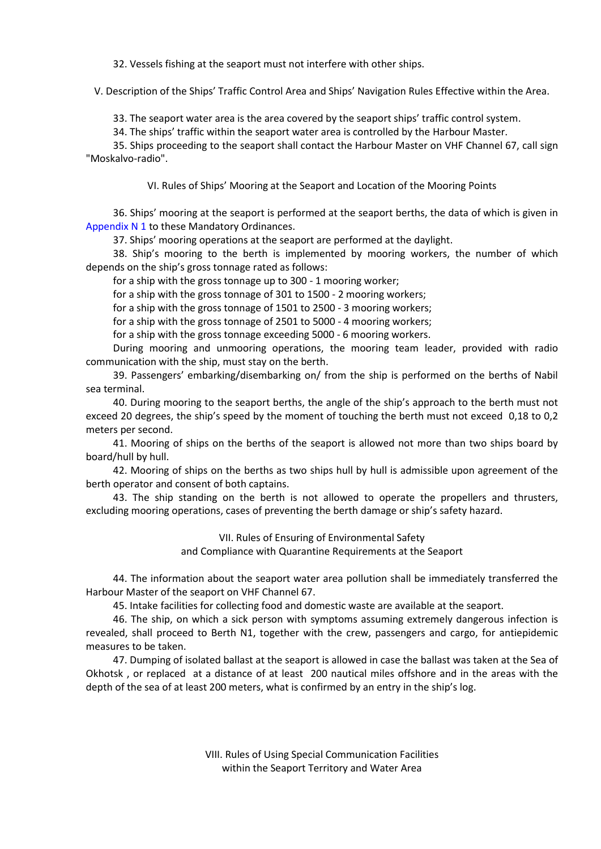32. Vessels fishing at the seaport must not interfere with other ships.

V. Description of the Ships' Traffic Control Area and Ships' Navigation Rules Effective within the Area.

33. The seaport water area is the area covered by the seaport ships' traffic control system.

34. The ships' traffic within the seaport water area is controlled by the Harbour Master.

35. Ships proceeding to the seaport shall contact the Harbour Master on VHF Channel 67, call sign "Moskalvo-radio".

VI. Rules of Ships' Mooring at the Seaport and Location of the Mooring Points

<span id="page-3-0"></span>36. Ships' mooring at the seaport is performed at the seaport berths, the data of which is given in [Appendix](#page-5-0) N 1 to these Mandatory Ordinances.

37. Ships' mooring operations at the seaport are performed at the daylight.

38. Ship's mooring to the berth is implemented by mooring workers, the number of which depends on the ship's gross tonnage rated as follows:

for a ship with the gross tonnage up to 300 - 1 mooring worker;

for a ship with the gross tonnage of 301 to 1500 - 2 mooring workers;

for a ship with the gross tonnage of 1501 to 2500 - 3 mooring workers;

for a ship with the gross tonnage of 2501 to 5000 - 4 mooring workers;

for a ship with the gross tonnage exceeding 5000 - 6 mooring workers.

During mooring and unmooring operations, the mooring team leader, provided with radio communication with the ship, must stay on the berth.

39. Passengers' embarking/disembarking on/ from the ship is performed on the berths of Nabil sea terminal.

40. During mooring to the seaport berths, the angle of the ship's approach to the berth must not exceed 20 degrees, the ship's speed by the moment of touching the berth must not exceed 0,18 to 0,2 meters per second.

41. Mooring of ships on the berths of the seaport is allowed not more than two ships board by board/hull by hull.

42. Mooring of ships on the berths as two ships hull by hull is admissible upon agreement of the berth operator and consent of both captains.

43. The ship standing on the berth is not allowed to operate the propellers and thrusters, excluding mooring operations, cases of preventing the berth damage or ship's safety hazard.

> VII. Rules of Ensuring of Environmental Safety and Compliance with Quarantine Requirements at the Seaport

44. The information about the seaport water area pollution shall be immediately transferred the Harbour Master of the seaport on VHF Channel 67.

45. Intake facilities for collecting food and domestic waste are available at the seaport.

46. The ship, on which a sick person with symptoms assuming extremely dangerous infection is revealed, shall proceed to Berth N1, together with the crew, passengers and cargo, for antiepidemic measures to be taken.

47. Dumping of isolated ballast at the seaport is allowed in case the ballast was taken at the Sea of Okhotsk , or replaced at a distance of at least 200 nautical miles offshore and in the areas with the depth of the sea of at least 200 meters, what is confirmed by an entry in the ship's log.

> VIII. Rules of Using Special Communication Facilities within the Seaport Territory and Water Area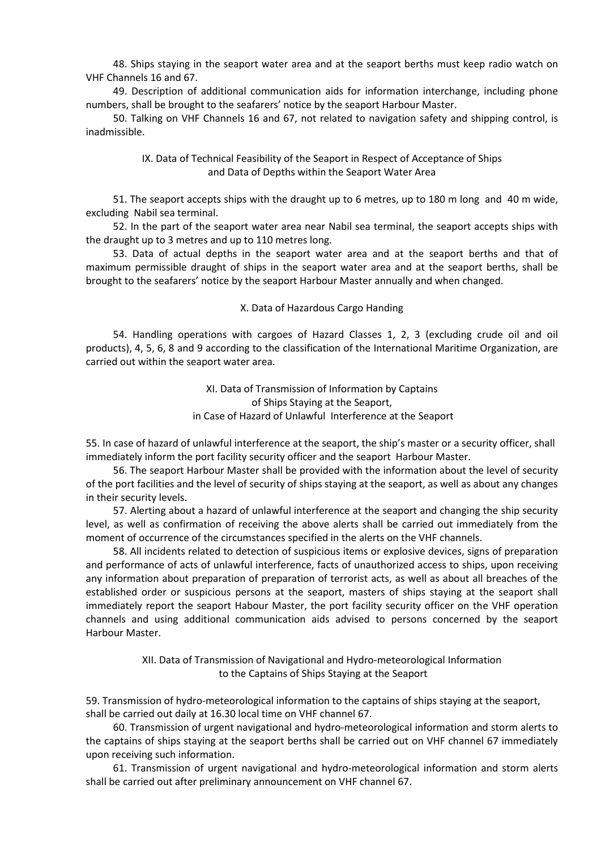48. Ships staying in the seaport water area and at the seaport berths must keep radio watch on VHF Channels 16 and 67.

49. Description of additional communication aids for information interchange, including phone numbers, shall be brought to the seafarers' notice by the seaport Harbour Master.

<span id="page-4-0"></span>50. Talking on VHF Channels 16 and 67, not related to navigation safety and shipping control, is inadmissible.

## IX. Data of Technical Feasibility of the Seaport in Respect of Acceptance of Ships and Data of Depths within the Seaport Water Area

51. The seaport accepts ships with the draught up to 6 metres, up to 180 m long and 40 m wide, excluding Nabil sea terminal.

52. In the part of the seaport water area near Nabil sea terminal, the seaport accepts ships with the draught up to 3 metres and up to 110 metres long.

53. Data of actual depths in the seaport water area and at the seaport berths and that of maximum permissible draught of ships in the seaport water area and at the seaport berths, shall be brought to the seafarers' notice by the seaport Harbour Master annually and when changed.

### X. Data of Hazardous Cargo Handing

54. Handling operations with cargoes of Hazard Classes 1, 2, 3 (excluding crude oil and oil products), 4, 5, 6, 8 and 9 according to the classification of the International Maritime Organization, are carried out within the seaport water area.

> XI. Data of Transmission of Information by Captains of Ships Staying at the Seaport, in Case of Hazard of Unlawful Interference at the Seaport

55. In case of hazard of unlawful interference at the seaport, the ship's master or a security officer, shall immediately inform the port facility security officer and the seaport Harbour Master.

56. The seaport Harbour Master shall be provided with the information about the level of security of the port facilities and the level of security of ships staying at the seaport, as well as about any changes in their security levels.

57. Alerting about a hazard of unlawful interference at the seaport and changing the ship security level, as well as confirmation of receiving the above alerts shall be carried out immediately from the moment of occurrence of the circumstances specified in the alerts on the VHF channels.

58. All incidents related to detection of suspicious items or explosive devices, signs of preparation and performance of acts of unlawful interference, facts of unauthorized access to ships, upon receiving any information about preparation of preparation of terrorist acts, as well as about all breaches of the established order or suspicious persons at the seaport, masters of ships staying at the seaport shall immediately report the seaport Habour Master, the port facility security officer on the VHF operation channels and using additional communication aids advised to persons concerned by the seaport Harbour Master.

> XII. Data of Transmission of Navigational and Hydro-meteorological Information to the Captains of Ships Staying at the Seaport

59. Transmission of hydro-meteorological information to the captains of ships staying at the seaport, shall be carried out daily at 16.30 local time on VHF channel 67.

60. Transmission of urgent navigational and hydro-meteorological information and storm alerts to the captains of ships staying at the seaport berths shall be carried out on VHF channel 67 immediately upon receiving such information.

61. Transmission of urgent navigational and hydro-meteorological information and storm alerts shall be carried out after preliminary announcement on VHF channel 67.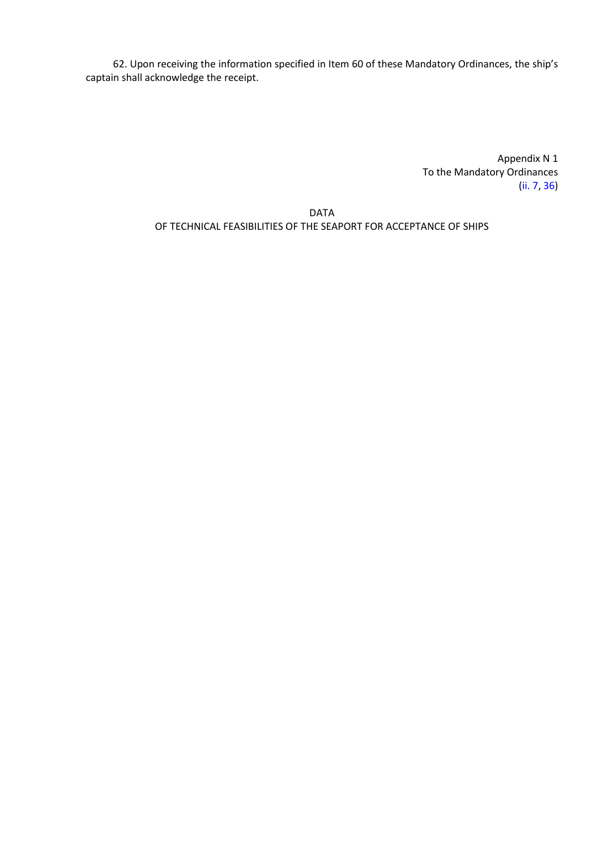62. Upon receiving the information specified in Item 60 of these Mandatory Ordinances, the ship's captain shall acknowledge the receipt.

> Appendix N 1 To the Mandatory Ordinances [\(ii. 7,](#page-1-0) [36\)](#page-3-0)

<span id="page-5-0"></span>DATA OF TECHNICAL FEASIBILITIES OF THE SEAPORT FOR ACCEPTANCE OF SHIPS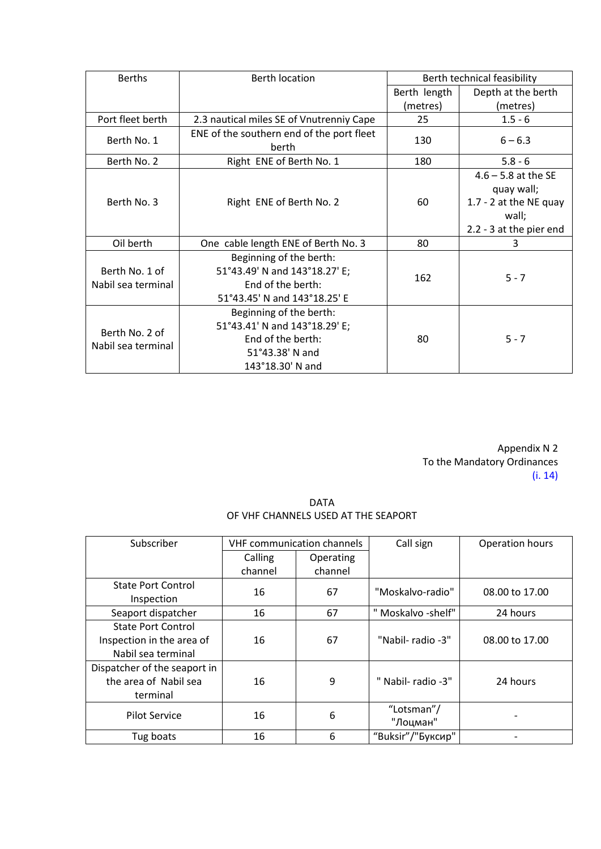| <b>Berths</b>                        | <b>Berth location</b>                                                                                                | Berth technical feasibility |                                                                        |
|--------------------------------------|----------------------------------------------------------------------------------------------------------------------|-----------------------------|------------------------------------------------------------------------|
|                                      |                                                                                                                      | Berth length                | Depth at the berth                                                     |
|                                      |                                                                                                                      | (metres)                    | (metres)                                                               |
| Port fleet berth                     | 2.3 nautical miles SE of Vnutrenniy Cape                                                                             | 25                          | $1.5 - 6$                                                              |
| Berth No. 1                          | ENE of the southern end of the port fleet<br>berth                                                                   | 130                         | $6 - 6.3$                                                              |
| Berth No. 2                          | Right ENE of Berth No. 1                                                                                             | 180                         | $5.8 - 6$                                                              |
| Berth No. 3                          | Right ENE of Berth No. 2                                                                                             | 60                          | $4.6 - 5.8$ at the SE<br>quay wall;<br>1.7 - 2 at the NE quay<br>wall; |
|                                      |                                                                                                                      |                             | 2.2 - 3 at the pier end                                                |
| Oil berth                            | One cable length ENE of Berth No. 3                                                                                  | 80                          | 3                                                                      |
| Berth No. 1 of<br>Nabil sea terminal | Beginning of the berth:<br>51°43.49' N and 143°18.27' E;<br>End of the berth:<br>51°43.45' N and 143°18.25' E        | 162                         | $5 - 7$                                                                |
| Berth No. 2 of<br>Nabil sea terminal | Beginning of the berth:<br>51°43.41' N and 143°18.29' E;<br>End of the berth:<br>51°43.38' N and<br>143°18.30' N and | 80                          | $5 - 7$                                                                |

Appendix N 2 To the Mandatory Ordinances [\(i. 14\)](#page-2-0)

DATA OF VHF CHANNELS USED AT THE SEAPORT

<span id="page-6-0"></span>

| Subscriber                   | <b>VHF communication channels</b> |           | Call sign          | Operation hours |
|------------------------------|-----------------------------------|-----------|--------------------|-----------------|
|                              | Calling                           | Operating |                    |                 |
|                              | channel                           | channel   |                    |                 |
| <b>State Port Control</b>    | 16                                | 67        | "Moskalvo-radio"   | 08.00 to 17.00  |
| Inspection                   |                                   |           |                    |                 |
| Seaport dispatcher           | 16                                | 67        | " Moskalvo -shelf" | 24 hours        |
| <b>State Port Control</b>    |                                   |           |                    |                 |
| Inspection in the area of    | 16                                | 67        | "Nabil-radio -3"   | 08.00 to 17.00  |
| Nabil sea terminal           |                                   |           |                    |                 |
| Dispatcher of the seaport in |                                   |           |                    |                 |
| the area of Nabil sea        | 16                                | 9         | " Nabil- radio -3" | 24 hours        |
| terminal                     |                                   |           |                    |                 |
| <b>Pilot Service</b>         | 16                                | 6         | "Lotsman"/         |                 |
|                              |                                   |           | "Лоцман"           |                 |
| Tug boats                    | 16                                | 6         | "Buksir"/"Буксир"  |                 |